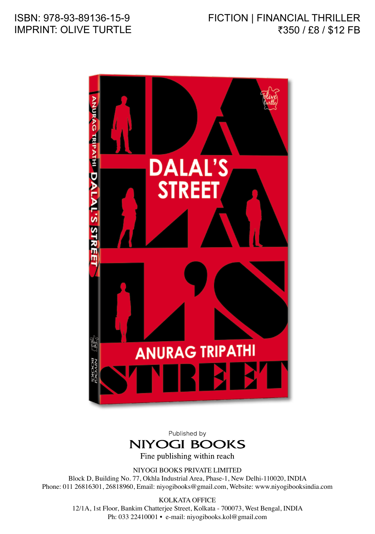## FICTION | FINANCIAL THRILLER ₹350 / £8 / \$12 FB



Published by **NIYOGI BOOKS** 

Fine publishing within reach

NIYOGI BOOKS PRIVATE LIMITED Block D, Building No. 77, Okhla Industrial Area, Phase-1, New Delhi-110020, INDIA Phone: 011 26816301, 26818960, Email: niyogibooks@gmail.com, Website: www.niyogibooksindia.com

> KOLKATA OFFICE 12/1A, 1st Floor, Bankim Chatterjee Street, Kolkata - 700073, West Bengal, INDIA Ph: 033 22410001 • e-mail: niyogibooks.kol@gmail.com